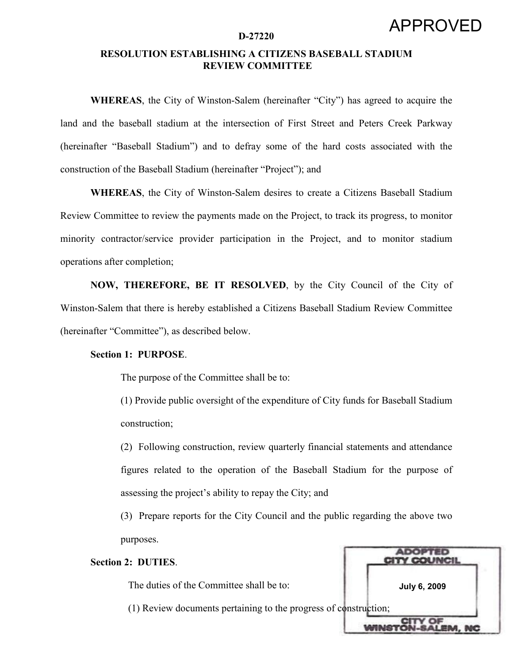## RESOLUTION ESTABLISHING A CITIZENS BASEBALL STADIUM REVIEW COMMITTEE

WHEREAS, the City of Winston-Salem (hereinafter "City") has agreed to acquire the land and the baseball stadium at the intersection of First Street and Peters Creek Parkway (hereinafter "Baseball Stadium") and to defray some of the hard costs associated with the construction of the Baseball Stadium (hereinafter "Project"); and

WHEREAS, the City of Winston-Salem desires to create a Citizens Baseball Stadium Review Committee to review the payments made on the Project, to track its progress, to monitor minority contractor/service provider participation in the Project, and to monitor stadium operations after completion;

NOW, THEREFORE, BE IT RESOLVED, by the City Council of the City of Winston-Salem that there is hereby established a Citizens Baseball Stadium Review Committee (hereinafter "Committee"), as described below.

## Section 1: PURPOSE.

The purpose of the Committee shall be to:

(1) Provide public oversight of the expenditure of City funds for Baseball Stadium construction;

(2) Following construction, review quarterly financial statements and attendance figures related to the operation of the Baseball Stadium for the purpose of assessing the project's ability to repay the City; and

(3) Prepare reports for the City Council and the public regarding the above two purposes.

## Section 2: DUTIES.

The duties of the Committee shall be to:

(1) Review documents pertaining to the progress of construction;

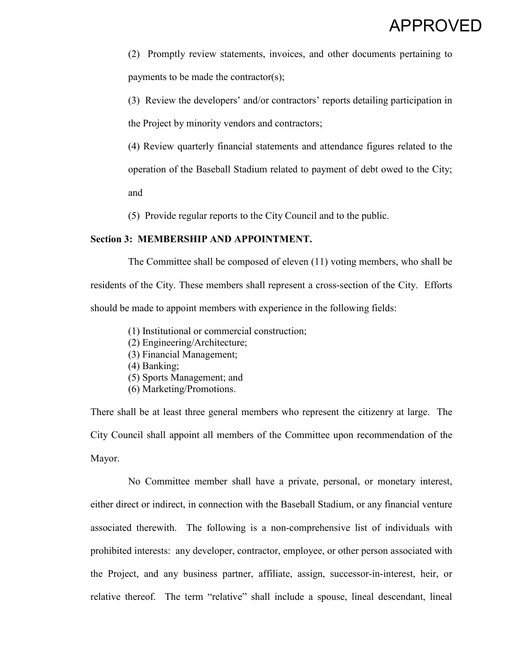(2) Promptly review statements, invoices, and other documents pertaining to payments to be made the contractor(s);

(3) Review the developers' and/or contractors' reports detailing participation in the Project by minority vendors and contractors;

(4) Review quarterly financial statements and attendance figures related to the operation of the Baseball Stadium related to payment of debt owed to the City;

and

(5) Provide regular reports to the City Council and to the public.

## Section 3: MEMBERSHIP AND APPOINTMENT.

 The Committee shall be composed of eleven (11) voting members, who shall be residents of the City. These members shall represent a cross-section of the City. Efforts should be made to appoint members with experience in the following fields:

- (1) Institutional or commercial construction;
- (2) Engineering/Architecture;
- (3) Financial Management;
- (4) Banking;
- (5) Sports Management; and
- (6) Marketing/Promotions.

There shall be at least three general members who represent the citizenry at large. The City Council shall appoint all members of the Committee upon recommendation of the Mayor.

 No Committee member shall have a private, personal, or monetary interest, either direct or indirect, in connection with the Baseball Stadium, or any financial venture associated therewith. The following is a non-comprehensive list of individuals with prohibited interests: any developer, contractor, employee, or other person associated with the Project, and any business partner, affiliate, assign, successor-in-interest, heir, or relative thereof. The term "relative" shall include a spouse, lineal descendant, lineal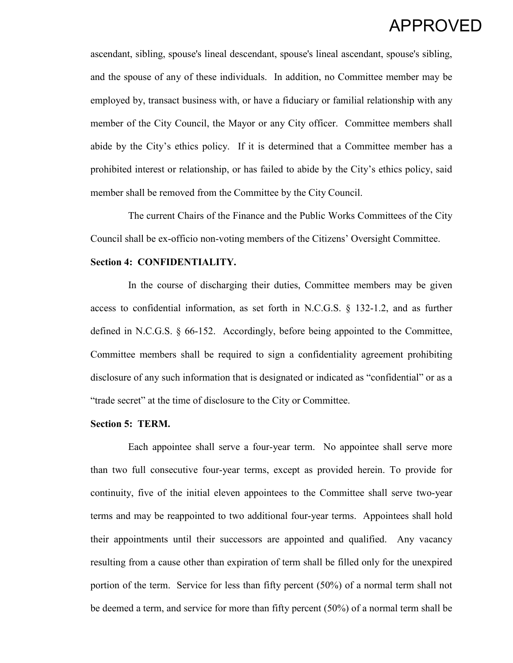ascendant, sibling, spouse's lineal descendant, spouse's lineal ascendant, spouse's sibling, and the spouse of any of these individuals. In addition, no Committee member may be employed by, transact business with, or have a fiduciary or familial relationship with any member of the City Council, the Mayor or any City officer. Committee members shall abide by the City's ethics policy. If it is determined that a Committee member has a prohibited interest or relationship, or has failed to abide by the City's ethics policy, said member shall be removed from the Committee by the City Council.

 The current Chairs of the Finance and the Public Works Committees of the City Council shall be ex-officio non-voting members of the Citizens' Oversight Committee.

## Section 4: CONFIDENTIALITY.

 In the course of discharging their duties, Committee members may be given access to confidential information, as set forth in N.C.G.S. § 132-1.2, and as further defined in N.C.G.S. § 66-152. Accordingly, before being appointed to the Committee, Committee members shall be required to sign a confidentiality agreement prohibiting disclosure of any such information that is designated or indicated as "confidential" or as a "trade secret" at the time of disclosure to the City or Committee.

## Section 5: TERM.

Each appointee shall serve a four-year term. No appointee shall serve more than two full consecutive four-year terms, except as provided herein. To provide for continuity, five of the initial eleven appointees to the Committee shall serve two-year terms and may be reappointed to two additional four-year terms. Appointees shall hold their appointments until their successors are appointed and qualified. Any vacancy resulting from a cause other than expiration of term shall be filled only for the unexpired portion of the term. Service for less than fifty percent (50%) of a normal term shall not be deemed a term, and service for more than fifty percent (50%) of a normal term shall be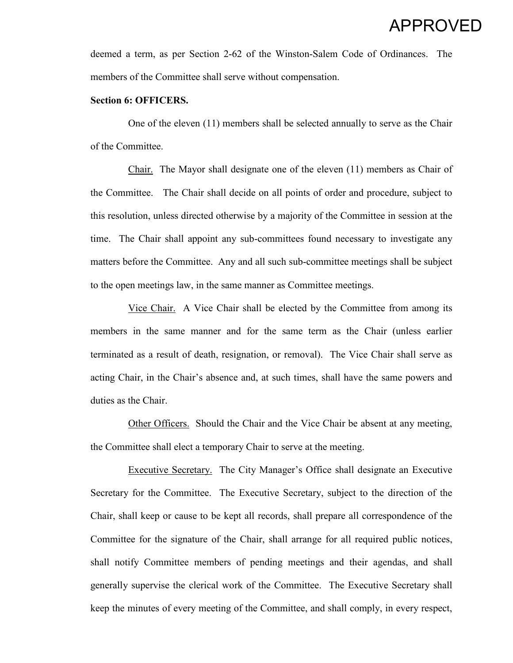deemed a term, as per Section 2-62 of the Winston-Salem Code of Ordinances. The members of the Committee shall serve without compensation.

#### Section 6: OFFICERS.

 One of the eleven (11) members shall be selected annually to serve as the Chair of the Committee.

 Chair. The Mayor shall designate one of the eleven (11) members as Chair of the Committee. The Chair shall decide on all points of order and procedure, subject to this resolution, unless directed otherwise by a majority of the Committee in session at the time. The Chair shall appoint any sub-committees found necessary to investigate any matters before the Committee. Any and all such sub-committee meetings shall be subject to the open meetings law, in the same manner as Committee meetings.

 Vice Chair. A Vice Chair shall be elected by the Committee from among its members in the same manner and for the same term as the Chair (unless earlier terminated as a result of death, resignation, or removal). The Vice Chair shall serve as acting Chair, in the Chair's absence and, at such times, shall have the same powers and duties as the Chair.

 Other Officers. Should the Chair and the Vice Chair be absent at any meeting, the Committee shall elect a temporary Chair to serve at the meeting.

 Executive Secretary. The City Manager's Office shall designate an Executive Secretary for the Committee. The Executive Secretary, subject to the direction of the Chair, shall keep or cause to be kept all records, shall prepare all correspondence of the Committee for the signature of the Chair, shall arrange for all required public notices, shall notify Committee members of pending meetings and their agendas, and shall generally supervise the clerical work of the Committee. The Executive Secretary shall keep the minutes of every meeting of the Committee, and shall comply, in every respect,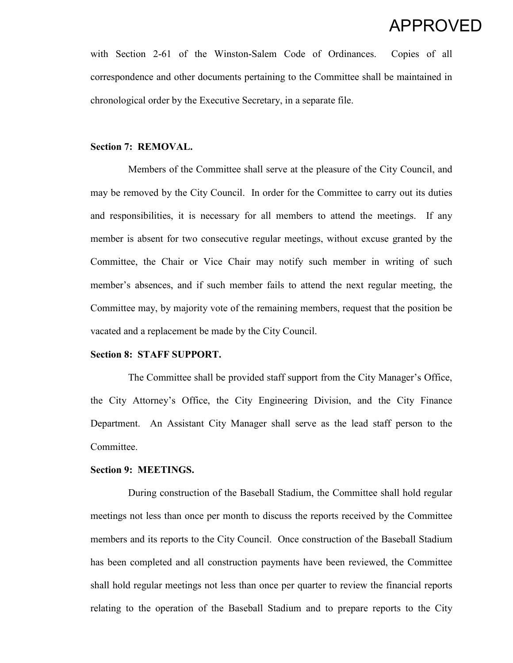with Section 2-61 of the Winston-Salem Code of Ordinances. Copies of all correspondence and other documents pertaining to the Committee shall be maintained in chronological order by the Executive Secretary, in a separate file.

### Section 7: REMOVAL.

 Members of the Committee shall serve at the pleasure of the City Council, and may be removed by the City Council. In order for the Committee to carry out its duties and responsibilities, it is necessary for all members to attend the meetings. If any member is absent for two consecutive regular meetings, without excuse granted by the Committee, the Chair or Vice Chair may notify such member in writing of such member's absences, and if such member fails to attend the next regular meeting, the Committee may, by majority vote of the remaining members, request that the position be vacated and a replacement be made by the City Council.

## Section 8: STAFF SUPPORT.

The Committee shall be provided staff support from the City Manager's Office, the City Attorney's Office, the City Engineering Division, and the City Finance Department. An Assistant City Manager shall serve as the lead staff person to the Committee.

## Section 9: MEETINGS.

During construction of the Baseball Stadium, the Committee shall hold regular meetings not less than once per month to discuss the reports received by the Committee members and its reports to the City Council. Once construction of the Baseball Stadium has been completed and all construction payments have been reviewed, the Committee shall hold regular meetings not less than once per quarter to review the financial reports relating to the operation of the Baseball Stadium and to prepare reports to the City